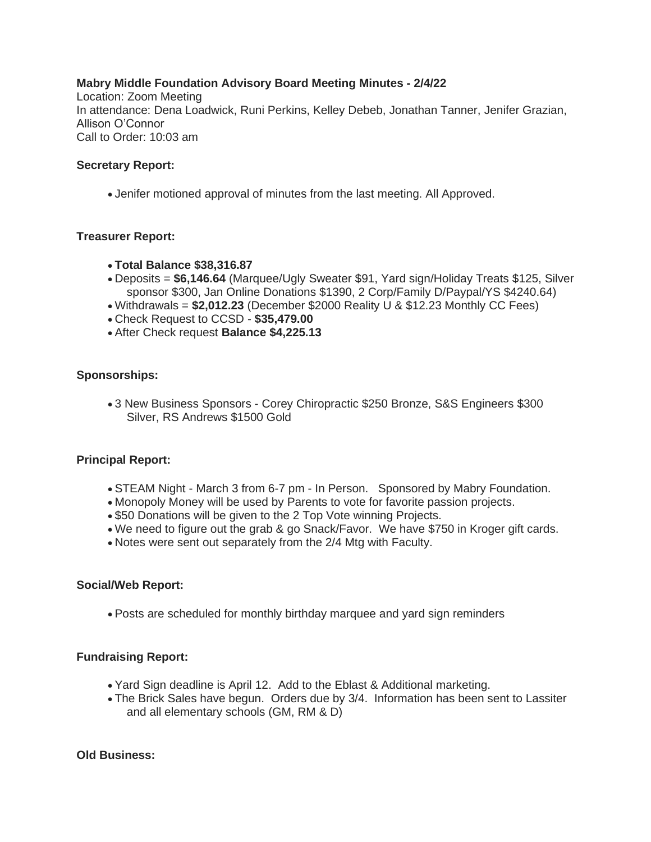#### **Mabry Middle Foundation Advisory Board Meeting Minutes - 2/4/22** Location: Zoom Meeting In attendance: Dena Loadwick, Runi Perkins, Kelley Debeb, Jonathan Tanner, Jenifer Grazian, Allison O'Connor Call to Order: 10:03 am

### **Secretary Report:**

• Jenifer motioned approval of minutes from the last meeting. All Approved.

### **Treasurer Report:**

- **Total Balance \$38,316.87**
- Deposits = **\$6,146.64** (Marquee/Ugly Sweater \$91, Yard sign/Holiday Treats \$125, Silver sponsor \$300, Jan Online Donations \$1390, 2 Corp/Family D/Paypal/YS \$4240.64)
- Withdrawals = **\$2,012.23** (December \$2000 Reality U & \$12.23 Monthly CC Fees)
- Check Request to CCSD **\$35,479.00**
- After Check request **Balance \$4,225.13**

### **Sponsorships:**

• 3 New Business Sponsors - Corey Chiropractic \$250 Bronze, S&S Engineers \$300 Silver, RS Andrews \$1500 Gold

## **Principal Report:**

- STEAM Night March 3 from 6-7 pm In Person. Sponsored by Mabry Foundation.
- Monopoly Money will be used by Parents to vote for favorite passion projects.
- \$50 Donations will be given to the 2 Top Vote winning Projects.
- We need to figure out the grab & go Snack/Favor. We have \$750 in Kroger gift cards.
- Notes were sent out separately from the 2/4 Mtg with Faculty.

### **Social/Web Report:**

• Posts are scheduled for monthly birthday marquee and yard sign reminders

## **Fundraising Report:**

- Yard Sign deadline is April 12. Add to the Eblast & Additional marketing.
- The Brick Sales have begun. Orders due by 3/4. Information has been sent to Lassiter and all elementary schools (GM, RM & D)

### **Old Business:**